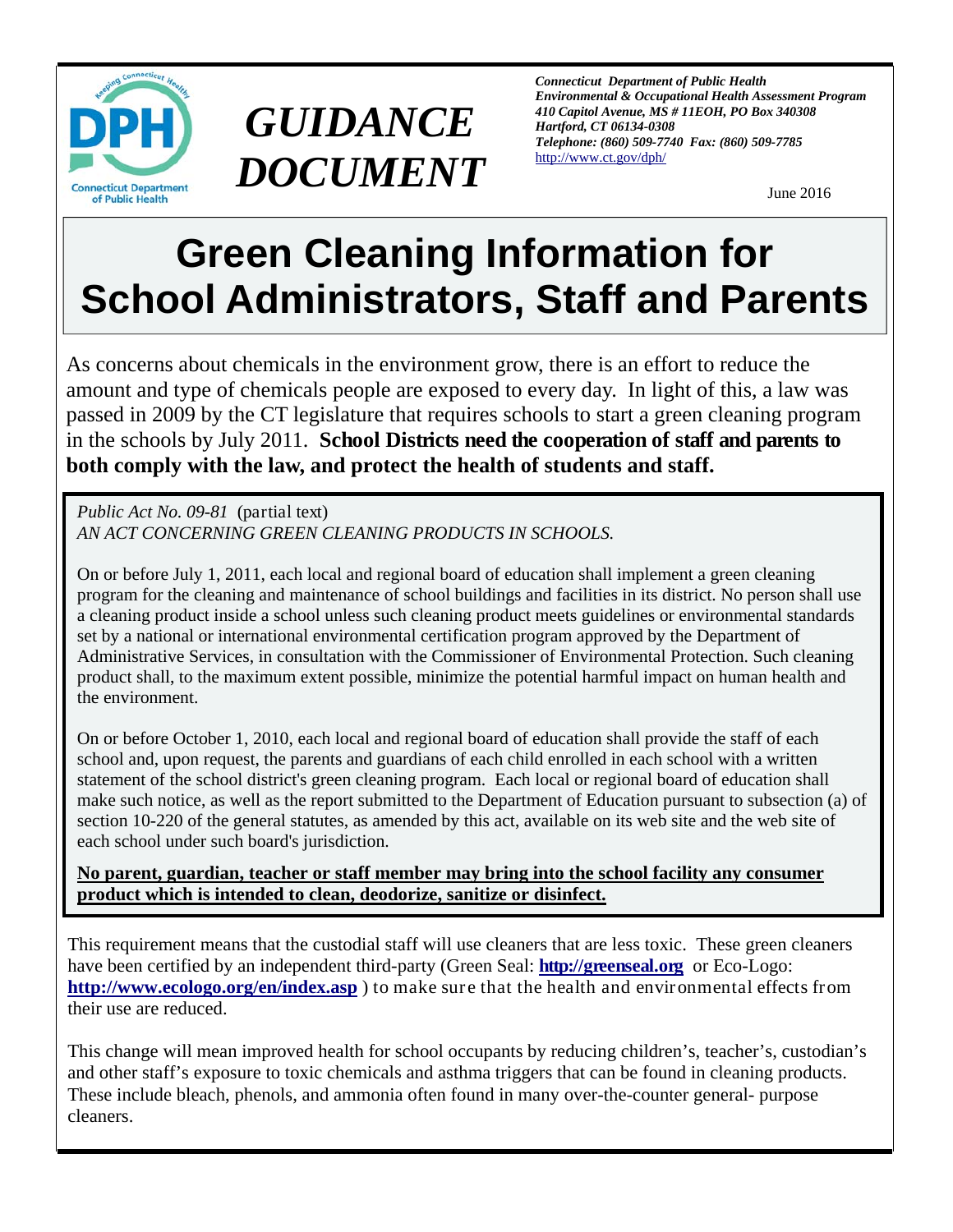

## *GUIDANCE DOCUMENT*

*Connecticut Department of Public Health Environmental & Occupational Health Assessment Program 410 Capitol Avenue, MS # 11EOH, PO Box 340308 Hartford, CT 06134-0308 Telephone: (860) 509-7740 Fax: (860) 509-7785*  http://www.ct.gov/dph/

June 2016

## **Green Cleaning Information for School Administrators, Staff and Parents**

As concerns about chemicals in the environment grow, there is an effort to reduce the amount and type of chemicals people are exposed to every day. In light of this, a law was passed in 2009 by the CT legislature that requires schools to start a green cleaning program in the schools by July 2011. **School Districts need the cooperation of staff and parents to both comply with the law, and protect the health of students and staff.** 

*Public Act No. 09-81* (partial text) *AN ACT CONCERNING GREEN CLEANING PRODUCTS IN SCHOOLS.* 

On or before July 1, 2011, each local and regional board of education shall implement a green cleaning program for the cleaning and maintenance of school buildings and facilities in its district. No person shall use a cleaning product inside a school unless such cleaning product meets guidelines or environmental standards set by a national or international environmental certification program approved by the Department of Administrative Services, in consultation with the Commissioner of Environmental Protection. Such cleaning product shall, to the maximum extent possible, minimize the potential harmful impact on human health and the environment.

On or before October 1, 2010, each local and regional board of education shall provide the staff of each school and, upon request, the parents and guardians of each child enrolled in each school with a written statement of the school district's green cleaning program. Each local or regional board of education shall make such notice, as well as the report submitted to the Department of Education pursuant to subsection (a) of section 10-220 of the general statutes, as amended by this act, available on its web site and the web site of each school under such board's jurisdiction.

**No parent, guardian, teacher or staff member may bring into the school facility any consumer product which is intended to clean, deodorize, sanitize or disinfect.** 

This requirement means that the custodial staff will use cleaners that are less toxic. These green cleaners have been certified by an independent third-party (Green Seal: **http://greenseal.org** or Eco-Logo: **http://www.ecologo.org/en/index.asp** ) to make sure that the health and environmental effects from their use are reduced.

This change will mean improved health for school occupants by reducing children's, teacher's, custodian's and other staff's exposure to toxic chemicals and asthma triggers that can be found in cleaning products. These include bleach, phenols, and ammonia often found in many over-the-counter general- purpose cleaners.